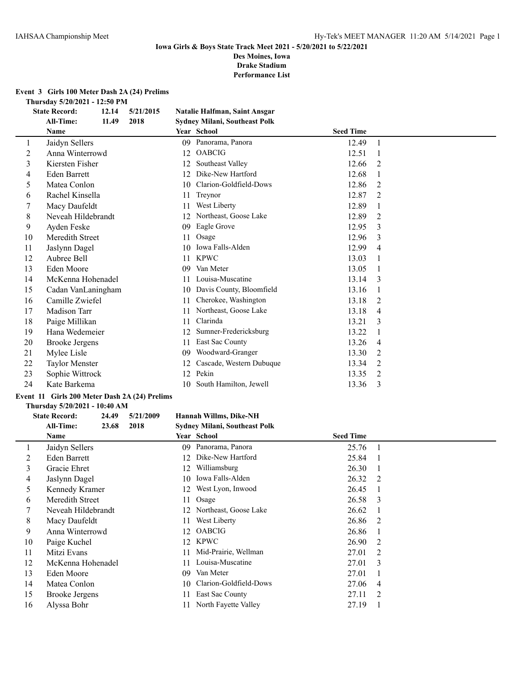**Drake Stadium Performance List**

**Event 3 Girls 100 Meter Dash 2A (24) Prelims**

**Thursday 5/20/2021 - 12:50 PM**

|    | <b>State Record:</b>  | 12.14 | 5/21/2015 |    | Natalie Halfman, Saint Ansgar        |                  |                |  |
|----|-----------------------|-------|-----------|----|--------------------------------------|------------------|----------------|--|
|    | <b>All-Time:</b>      | 11.49 | 2018      |    | <b>Sydney Milani, Southeast Polk</b> |                  |                |  |
|    | Name                  |       |           |    | Year School                          | <b>Seed Time</b> |                |  |
| 1  | Jaidyn Sellers        |       |           | 09 | Panorama, Panora                     | 12.49            | 1              |  |
| 2  | Anna Winterrowd       |       |           | 12 | <b>OABCIG</b>                        | 12.51            |                |  |
| 3  | Kiersten Fisher       |       |           | 12 | Southeast Valley                     | 12.66            | 2              |  |
| 4  | <b>Eden Barrett</b>   |       |           | 12 | Dike-New Hartford                    | 12.68            |                |  |
| 5  | Matea Conlon          |       |           | 10 | Clarion-Goldfield-Dows               | 12.86            | 2              |  |
| 6  | Rachel Kinsella       |       |           | 11 | Treynor                              | 12.87            | $\overline{2}$ |  |
|    | Macy Daufeldt         |       |           | 11 | West Liberty                         | 12.89            | 1              |  |
| 8  | Neveah Hildebrandt    |       |           | 12 | Northeast, Goose Lake                | 12.89            | 2              |  |
| 9  | Ayden Feske           |       |           | 09 | Eagle Grove                          | 12.95            | 3              |  |
| 10 | Meredith Street       |       |           | 11 | Osage                                | 12.96            | 3              |  |
| 11 | Jaslynn Dagel         |       |           | 10 | Iowa Falls-Alden                     | 12.99            | 4              |  |
| 12 | Aubree Bell           |       |           | 11 | <b>KPWC</b>                          | 13.03            |                |  |
| 13 | Eden Moore            |       |           | 09 | Van Meter                            | 13.05            |                |  |
| 14 | McKenna Hohenadel     |       |           | 11 | Louisa-Muscatine                     | 13.14            | 3              |  |
| 15 | Cadan VanLaningham    |       |           | 10 | Davis County, Bloomfield             | 13.16            |                |  |
| 16 | Camille Zwiefel       |       |           | 11 | Cherokee, Washington                 | 13.18            | 2              |  |
| 17 | Madison Tarr          |       |           | 11 | Northeast, Goose Lake                | 13.18            | 4              |  |
| 18 | Paige Millikan        |       |           | 11 | Clarinda                             | 13.21            | 3              |  |
| 19 | Hana Wedemeier        |       |           | 12 | Sumner-Fredericksburg                | 13.22            |                |  |
| 20 | <b>Brooke Jergens</b> |       |           | 11 | East Sac County                      | 13.26            | 4              |  |
| 21 | Mylee Lisle           |       |           | 09 | Woodward-Granger                     | 13.30            | 2              |  |
| 22 | <b>Taylor Menster</b> |       |           | 12 | Cascade, Western Dubuque             | 13.34            | 2              |  |
| 23 | Sophie Wittrock       |       |           | 12 | Pekin                                | 13.35            | 2              |  |
| 24 | Kate Barkema          |       |           | 10 | South Hamilton, Jewell               | 13.36            | 3              |  |
|    |                       |       |           |    |                                      |                  |                |  |

## **Event 11 Girls 200 Meter Dash 2A (24) Prelims**

## **Thursday 5/20/2021 - 10:40 AM**

#### **State Record: 24.49 5/21/2009 Hannah Willms, Dike-NH All-Time: 23.68 2018 Sydney Milani, Southeast Polk**

|    | Name               |     | Year School              | <b>Seed Time</b> |                |
|----|--------------------|-----|--------------------------|------------------|----------------|
|    | Jaidyn Sellers     | 09. | Panorama, Panora         | 25.76            |                |
| 2  | Eden Barrett       | 12  | Dike-New Hartford        | 25.84            |                |
| 3  | Gracie Ehret       | 12  | Williamsburg             | 26.30            |                |
| 4  | Jaslynn Dagel      | 10  | Iowa Falls-Alden         | 26.32            | - 2            |
| 5  | Kennedy Kramer     |     | 12 West Lyon, Inwood     | 26.45            |                |
| 6  | Meredith Street    | 11  | Osage                    | 26.58            | - 3            |
|    | Neveah Hildebrandt |     | 12 Northeast, Goose Lake | 26.62            |                |
| 8  | Macy Daufeldt      | 11  | West Liberty             | 26.86            | - 2            |
| 9  | Anna Winterrowd    | 12. | <b>OABCIG</b>            | 26.86            |                |
| 10 | Paige Kuchel       |     | 12 KPWC                  | 26.90            | $\mathcal{L}$  |
| 11 | Mitzi Evans        | 11  | Mid-Prairie, Wellman     | 27.01            | $\overline{2}$ |
| 12 | McKenna Hohenadel  | 11  | Louisa-Muscatine         | 27.01            | $\mathcal{E}$  |
| 13 | Eden Moore         | 09  | Van Meter                | 27.01            |                |
| 14 | Matea Conlon       | 10  | Clarion-Goldfield-Dows   | 27.06            | 4              |
| 15 | Brooke Jergens     | 11  | East Sac County          | 27.11            | $\overline{2}$ |
| 16 | Alyssa Bohr        |     | North Fayette Valley     | 27.19            |                |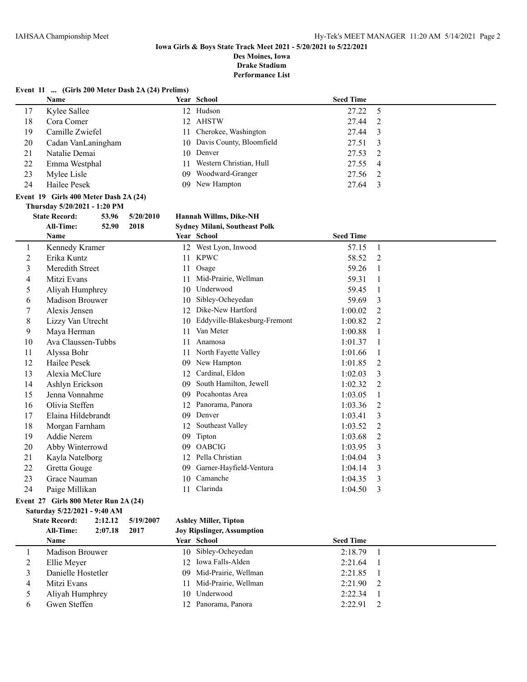## **Iowa Girls & Boys State Track Meet 2021 - 5/20/2021 to 5/22/2021**

**Des Moines, Iowa Drake Stadium**

**Performance List**

|    | Name                                                                                                                                                                                                                                                                                                                                                                                    |    | Year School                  | <b>Seed Time</b> |                |
|----|-----------------------------------------------------------------------------------------------------------------------------------------------------------------------------------------------------------------------------------------------------------------------------------------------------------------------------------------------------------------------------------------|----|------------------------------|------------------|----------------|
| 1  | Kennedy Kramer                                                                                                                                                                                                                                                                                                                                                                          |    | 12 West Lyon, Inwood         | 57.15            | $\overline{1}$ |
| 2  | Erika Kuntz                                                                                                                                                                                                                                                                                                                                                                             | 11 | <b>KPWC</b>                  | 58.52            | 2              |
| 3  | Meredith Street                                                                                                                                                                                                                                                                                                                                                                         | 11 | Osage                        | 59.26            | $\mathbf{1}$   |
| 4  | Mitzi Evans                                                                                                                                                                                                                                                                                                                                                                             | 11 | Mid-Prairie, Wellman         | 59.31            | -1             |
| 5  | Aliyah Humphrey                                                                                                                                                                                                                                                                                                                                                                         | 10 | Underwood                    | 59.45            | 1              |
| 6  | Madison Brouwer                                                                                                                                                                                                                                                                                                                                                                         | 10 | Sibley-Ocheyedan             | 59.69            | 3              |
|    | Alexis Jensen                                                                                                                                                                                                                                                                                                                                                                           | 12 | Dike-New Hartford            | 1:00.02          | $\overline{2}$ |
| 8  | Lizzy Van Utrecht                                                                                                                                                                                                                                                                                                                                                                       | 10 | Eddyville-Blakesburg-Fremont | 1:00.82          | 2              |
| 9  | Maya Herman                                                                                                                                                                                                                                                                                                                                                                             | 11 | Van Meter                    | 1:00.88          | 1              |
| 10 | Ava Claussen-Tubbs                                                                                                                                                                                                                                                                                                                                                                      | 11 | Anamosa                      | 1:01.37          | -1             |
| 11 | Alyssa Bohr                                                                                                                                                                                                                                                                                                                                                                             | 11 | North Fayette Valley         | 1:01.66          |                |
| 12 | Hailee Pesek                                                                                                                                                                                                                                                                                                                                                                            | 09 | New Hampton                  | 1:01.85          | $\overline{2}$ |
| 13 | Alexia McClure                                                                                                                                                                                                                                                                                                                                                                          | 12 | Cardinal, Eldon              | 1:02.03          | 3              |
| 14 | Ashlyn Erickson                                                                                                                                                                                                                                                                                                                                                                         | 09 | South Hamilton, Jewell       | 1:02.32          | 2              |
| 15 | Jenna Vonnahme                                                                                                                                                                                                                                                                                                                                                                          | 09 | Pocahontas Area              | 1:03.05          | -1             |
| 16 | Olivia Steffen                                                                                                                                                                                                                                                                                                                                                                          | 12 | Panorama, Panora             | 1:03.36          | $\overline{2}$ |
| 17 | Elaina Hildebrandt                                                                                                                                                                                                                                                                                                                                                                      | 09 | Denver                       | 1:03.41          | 3              |
| 18 | Morgan Farnham                                                                                                                                                                                                                                                                                                                                                                          | 12 | Southeast Valley             | 1:03.52          | $\overline{2}$ |
| 19 | Addie Nerem                                                                                                                                                                                                                                                                                                                                                                             | 09 | Tipton                       | 1:03.68          | 2              |
| 20 | Abby Winterrowd                                                                                                                                                                                                                                                                                                                                                                         | 09 | <b>OABCIG</b>                | 1:03.95          | 3              |
| 21 | Kayla Natelborg                                                                                                                                                                                                                                                                                                                                                                         | 12 | Pella Christian              | 1:04.04          | 3              |
| 22 | Gretta Gouge                                                                                                                                                                                                                                                                                                                                                                            | 09 | Garner-Hayfield-Ventura      | 1:04.14          | 3              |
| 23 | Grace Nauman                                                                                                                                                                                                                                                                                                                                                                            | 10 | Camanche                     | 1:04.35          | 3              |
| 24 | Paige Millikan                                                                                                                                                                                                                                                                                                                                                                          | 11 | Clarinda                     | 1:04.50          | 3              |
|    | $Fvan$ $\uparrow$ $\uparrow$ $\uparrow$ $Cir$ $\uparrow$ $\uparrow$ $\uparrow$ $\uparrow$ $\uparrow$ $\uparrow$ $\uparrow$ $\uparrow$ $\uparrow$ $\uparrow$ $\uparrow$ $\uparrow$ $\uparrow$ $\uparrow$ $\uparrow$ $\uparrow$ $\uparrow$ $\uparrow$ $\uparrow$ $\uparrow$ $\uparrow$ $\uparrow$ $\uparrow$ $\uparrow$ $\uparrow$ $\uparrow$ $\uparrow$ $\uparrow$ $\uparrow$ $\uparrow$ |    |                              |                  |                |

#### **Event 27 Girls 800 Meter Run 2A (24) Saturday 5/22/2021 - 9:40 AM**

## **State Record: 2:12.12 5/19/2007 Ashley Miller, Tipton**

| 2017<br><b>All-Time:</b><br>2:07.18 | <b>Joy Ripslinger, Assumption</b> |                          |  |
|-------------------------------------|-----------------------------------|--------------------------|--|
| <b>Name</b>                         | <b>Year School</b>                | <b>Seed Time</b>         |  |
| Madison Brouwer                     | 10 Sibley-Ocheyedan               | 2:18.79                  |  |
| Ellie Meyer                         | 12 Iowa Falls-Alden               | 2:21.64                  |  |
| Danielle Hostetler                  | 09 Mid-Prairie, Wellman           | 2:21.85                  |  |
| Mitzi Evans                         | 11 Mid-Prairie, Wellman           | 2:21.90<br>$\mathcal{L}$ |  |
| Aliyah Humphrey                     | 10 Underwood                      | 2:22.34                  |  |
| Gwen Steffen                        | 12 Panorama, Panora               | 2:22.91<br>$\mathcal{L}$ |  |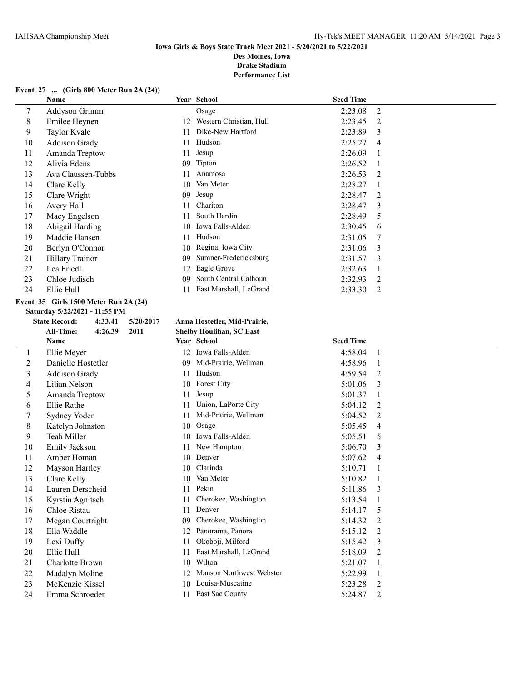## **Event 27 ... (Girls 800 Meter Run 2A (24))**

|    | Name                 |     | Year School             | <b>Seed Time</b> |                |
|----|----------------------|-----|-------------------------|------------------|----------------|
| 7  | Addyson Grimm        |     | Osage                   | 2:23.08          | 2              |
| 8  | Emilee Heynen        | 12. | Western Christian, Hull | 2:23.45          | 2              |
| 9  | Taylor Kvale         | 11  | Dike-New Hartford       | 2:23.89          | 3              |
| 10 | <b>Addison Grady</b> | 11  | Hudson                  | 2:25.27          | $\overline{4}$ |
| 11 | Amanda Treptow       | 11  | Jesup                   | 2:26.09          |                |
| 12 | Alivia Edens         | 09  | Tipton                  | 2:26.52          |                |
| 13 | Ava Claussen-Tubbs   | 11  | Anamosa                 | 2:26.53          | 2              |
| 14 | Clare Kelly          | 10  | Van Meter               | 2:28.27          |                |
| 15 | Clare Wright         | 09  | Jesup                   | 2:28.47          | 2              |
| 16 | Avery Hall           | 11  | Chariton                | 2:28.47          | 3              |
| 17 | Macy Engelson        | 11  | South Hardin            | 2:28.49          | 5              |
| 18 | Abigail Harding      | 10  | Iowa Falls-Alden        | 2:30.45          | 6              |
| 19 | Maddie Hansen        | 11  | Hudson                  | 2:31.05          | -7             |
| 20 | Berlyn O'Connor      | 10  | Regina, Iowa City       | 2:31.06          | 3              |
| 21 | Hillary Trainor      | 09  | Sumner-Fredericksburg   | 2:31.57          | 3              |
| 22 | Lea Friedl           | 12  | Eagle Grove             | 2:32.63          |                |
| 23 | Chloe Judisch        | 09  | South Central Calhoun   | 2:32.93          | 2              |
| 24 | Ellie Hull           | 11  | East Marshall, LeGrand  | 2:33.30          | 2              |

## **Event 35 Girls 1500 Meter Run 2A (24)**

**Saturday 5/22/2021 - 11:55 PM**

#### **State Record: 4:33.41 5/20/2017 Anna Hostetler, Mid-Prairie,**

**All-Time: 4:26.39 2011 Shelby Houlihan, SC East**

| ли-тице              |    |                                                    |                                                              |                |
|----------------------|----|----------------------------------------------------|--------------------------------------------------------------|----------------|
| <b>Name</b>          |    |                                                    | <b>Seed Time</b>                                             |                |
| Ellie Meyer          |    |                                                    | 4:58.04                                                      | 1              |
| Danielle Hostetler   | 09 | Mid-Prairie, Wellman                               | 4:58.96                                                      |                |
| <b>Addison Grady</b> | 11 | Hudson                                             | 4:59.54                                                      | 2              |
| Lilian Nelson        |    | <b>Forest City</b>                                 | 5:01.06                                                      | 3              |
| Amanda Treptow       |    | Jesup                                              | 5:01.37                                                      |                |
| Ellie Rathe          |    | Union, LaPorte City                                | 5:04.12                                                      | 2              |
| Sydney Yoder         |    | Mid-Prairie, Wellman                               | 5:04.52                                                      | $\mathfrak{D}$ |
| Katelyn Johnston     |    | Osage                                              | 5:05.45                                                      | 4              |
| Teah Miller          | 10 | Iowa Falls-Alden                                   | 5:05.51                                                      | 5              |
| Emily Jackson        | 11 | New Hampton                                        | 5:06.70                                                      | 3              |
| Amber Homan          | 10 | Denver                                             | 5:07.62                                                      | $\overline{4}$ |
| Mayson Hartley       |    | Clarinda                                           | 5:10.71                                                      |                |
| Clare Kelly          |    | Van Meter                                          | 5:10.82                                                      |                |
| Lauren Derscheid     | 11 | Pekin                                              | 5:11.86                                                      | 3              |
| Kyrstin Agnitsch     |    | Cherokee, Washington                               | 5:13.54                                                      |                |
| Chloe Ristau         | 11 | Denver                                             | 5:14.17                                                      | 5              |
| Megan Courtright     | 09 | Cherokee, Washington                               | 5:14.32                                                      | 2              |
| Ella Waddle          |    | Panorama, Panora                                   | 5:15.12                                                      | 2              |
| Lexi Duffy           | 11 | Okoboji, Milford                                   | 5:15.42                                                      | 3              |
| Ellie Hull           | 11 | East Marshall, LeGrand                             | 5:18.09                                                      | 2              |
| Charlotte Brown      |    | Wilton                                             | 5:21.07                                                      | 1              |
| Madalyn Moline       |    | Manson Northwest Webster                           | 5:22.99                                                      |                |
| McKenzie Kissel      |    | Louisa-Muscatine                                   | 5:23.28                                                      | 2              |
| Emma Schroeder       |    | East Sac County                                    | 5:24.87                                                      | 2              |
|                      |    | 10<br>10<br>10<br>10<br>12<br>10<br>12<br>10<br>11 | энспутноаннан, эс ваяс<br>Year School<br>12 Iowa Falls-Alden |                |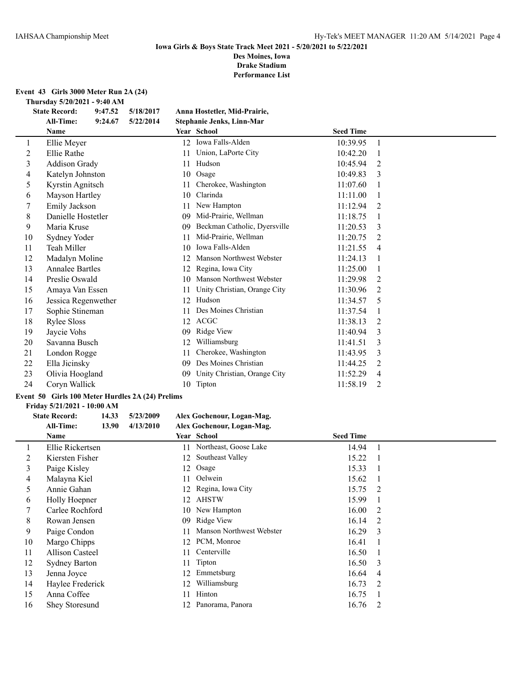## **Event 43 Girls 3000 Meter Run 2A (24)**

**Thursday 5/20/2021 - 9:40 AM**

|                | <b>State Record:</b>   | 9:47.52 | 5/18/2017 |    | Anna Hostetler, Mid-Prairie, |                  |    |
|----------------|------------------------|---------|-----------|----|------------------------------|------------------|----|
|                | <b>All-Time:</b>       | 9:24.67 | 5/22/2014 |    | Stephanie Jenks, Linn-Mar    |                  |    |
|                | <b>Name</b>            |         |           |    | Year School                  | <b>Seed Time</b> |    |
| 1              | Ellie Meyer            |         |           | 12 | Iowa Falls-Alden             | 10:39.95         | -1 |
| $\overline{c}$ | Ellie Rathe            |         |           | 11 | Union, LaPorte City          | 10:42.20         |    |
| 3              | <b>Addison Grady</b>   |         |           | 11 | Hudson                       | 10:45.94         | 2  |
| 4              | Katelyn Johnston       |         |           | 10 | Osage                        | 10:49.83         | 3  |
| 5              | Kyrstin Agnitsch       |         |           | 11 | Cherokee, Washington         | 11:07.60         |    |
| 6              | Mayson Hartley         |         |           | 10 | Clarinda                     | 11:11.00         |    |
| 7              | Emily Jackson          |         |           | 11 | New Hampton                  | 11:12.94         | 2  |
| 8              | Danielle Hostetler     |         |           | 09 | Mid-Prairie, Wellman         | 11:18.75         |    |
| 9              | Maria Kruse            |         |           | 09 | Beckman Catholic, Dyersville | 11:20.53         | 3  |
| 10             | Sydney Yoder           |         |           | 11 | Mid-Prairie, Wellman         | 11:20.75         | 2  |
| 11             | Teah Miller            |         |           | 10 | Iowa Falls-Alden             | 11:21.55         | 4  |
| 12             | Madalyn Moline         |         |           |    | Manson Northwest Webster     | 11:24.13         |    |
| 13             | <b>Annalee Bartles</b> |         |           | 12 | Regina, Iowa City            | 11:25.00         |    |
| 14             | Preslie Oswald         |         |           | 10 | Manson Northwest Webster     | 11:29.98         | 2  |
| 15             | Amaya Van Essen        |         |           | 11 | Unity Christian, Orange City | 11:30.96         | 2  |
| 16             | Jessica Regenwether    |         |           | 12 | Hudson                       | 11:34.57         | 5  |
| 17             | Sophie Stineman        |         |           | 11 | Des Moines Christian         | 11:37.54         |    |
| 18             | <b>Rylee Sloss</b>     |         |           | 12 | <b>ACGC</b>                  | 11:38.13         | 2  |
| 19             | Jaycie Vohs            |         |           | 09 | Ridge View                   | 11:40.94         | 3  |
| 20             | Savanna Busch          |         |           | 12 | Williamsburg                 | 11:41.51         | 3  |
| 21             | London Rogge           |         |           | 11 | Cherokee, Washington         | 11:43.95         | 3  |
| 22             | Ella Jicinsky          |         |           | 09 | Des Moines Christian         | 11:44.25         | 2  |
| 23             | Olivia Hoogland        |         |           | 09 | Unity Christian, Orange City | 11:52.29         | 4  |
| 24             | Coryn Wallick          |         |           | 10 | Tipton                       | 11:58.19         | 2  |

## **Event 50 Girls 100 Meter Hurdles 2A (24) Prelims**

#### **Friday 5/21/2021 - 10:00 AM**

## **State Record: 14.33 5/23/2009 Alex Gochenour, Logan-Mag. All-Time: 13.90 4/13/2010 Alex Gochenour, Logan-Mag.**

|    | Name                  |    | Year School              | <b>Seed Time</b> |                |
|----|-----------------------|----|--------------------------|------------------|----------------|
|    | Ellie Rickertsen      |    | 11 Northeast, Goose Lake | 14.94            |                |
| 2  | Kiersten Fisher       | 12 | Southeast Valley         | 15.22            |                |
| 3  | Paige Kisley          | 12 | Osage                    | 15.33            |                |
| 4  | Malayna Kiel          | 11 | Oelwein                  | 15.62            | -1             |
| 5  | Annie Gahan           |    | 12 Regina, Iowa City     | 15.75            | -2             |
| 6  | Holly Hoepner         | 12 | AHSTW                    | 15.99            |                |
|    | Carlee Rochford       | 10 | New Hampton              | 16.00            | 2              |
| 8  | Rowan Jensen          | 09 | Ridge View               | 16.14            | 2              |
| 9  | Paige Condon          | 11 | Manson Northwest Webster | 16.29            | 3              |
| 10 | Margo Chipps          | 12 | PCM, Monroe              | 16.41            |                |
| 11 | Allison Casteel       | 11 | Centerville              | 16.50            |                |
| 12 | <b>Sydney Barton</b>  |    | 11 Tipton                | 16.50            | 3              |
| 13 | Jenna Joyce           | 12 | Emmetsburg               | 16.64            | $\overline{4}$ |
| 14 | Haylee Frederick      | 12 | Williamsburg             | 16.73            | 2              |
| 15 | Anna Coffee           | 11 | Hinton                   | 16.75            |                |
| 16 | <b>Shey Storesund</b> |    | Panorama, Panora         | 16.76            | 2              |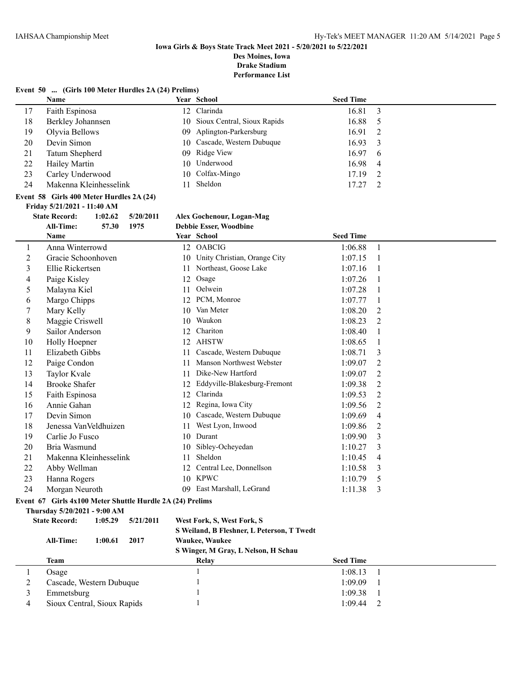**Drake Stadium**

**Performance List**

## **Event 50 ... (Girls 100 Meter Hurdles 2A (24) Prelims)**

|    | <b>Name</b>            | <b>Year School</b>             | <b>Seed Time</b> |                |
|----|------------------------|--------------------------------|------------------|----------------|
| 17 | Faith Espinosa         | 12 Clarinda                    | 16.81            |                |
| 18 | Berkley Johannsen      | 10 Sioux Central, Sioux Rapids | 16.88            | - 5            |
| 19 | Olyvia Bellows         | 09 Aplington-Parkersburg       | 16.91            | $\overline{2}$ |
| 20 | Devin Simon            | 10 Cascade, Western Dubuque    | $16.93 \quad 3$  |                |
| 21 | Tatum Shepherd         | 09 Ridge View                  | 16.97            | $6^{\circ}$    |
| 22 | Hailey Martin          | 10 Underwood                   | 16.98            | $\overline{4}$ |
| 23 | Carley Underwood       | 10 Colfax-Mingo                | 17.19            |                |
| 24 | Makenna Kleinhesselink | Sheldon                        | 17.27            |                |

## **Event 58 Girls 400 Meter Hurdles 2A (24)**

#### **Friday 5/21/2021 - 11:40 AM**

## **State Record: 1:02.62 5/20/2011 Alex Gochenour, Logan-Mag**

|    | <b>All-Time:</b>                                          | 57.30   | 1975      |    | <b>Debbie Esser, Woodbine</b>              |                  |                |
|----|-----------------------------------------------------------|---------|-----------|----|--------------------------------------------|------------------|----------------|
|    | <b>Name</b>                                               |         |           |    | Year School                                | <b>Seed Time</b> |                |
| 1  | Anna Winterrowd                                           |         |           |    | 12 OABCIG                                  | 1:06.88          | -1             |
| 2  | Gracie Schoonhoven                                        |         |           | 10 | Unity Christian, Orange City               | 1:07.15          | -1             |
| 3  | Ellie Rickertsen                                          |         |           | 11 | Northeast, Goose Lake                      | 1:07.16          | $\overline{1}$ |
| 4  | Paige Kisley                                              |         |           | 12 | Osage                                      | 1:07.26          | -1             |
| 5  | Malayna Kiel                                              |         |           | 11 | Oelwein                                    | 1:07.28          |                |
| 6  | Margo Chipps                                              |         |           | 12 | PCM, Monroe                                | 1:07.77          | 1              |
| 7  | Mary Kelly                                                |         |           | 10 | Van Meter                                  | 1:08.20          | 2              |
| 8  | Maggie Criswell                                           |         |           | 10 | Waukon                                     | 1:08.23          | 2              |
| 9  | Sailor Anderson                                           |         |           | 12 | Chariton                                   | 1:08.40          | 1              |
| 10 | Holly Hoepner                                             |         |           | 12 | <b>AHSTW</b>                               | 1:08.65          | 1              |
| 11 | Elizabeth Gibbs                                           |         |           | 11 | Cascade, Western Dubuque                   | 1:08.71          | 3              |
| 12 | Paige Condon                                              |         |           | 11 | Manson Northwest Webster                   | 1:09.07          | $\overline{2}$ |
| 13 | Taylor Kvale                                              |         |           | 11 | Dike-New Hartford                          | 1:09.07          | 2              |
| 14 | <b>Brooke Shafer</b>                                      |         |           | 12 | Eddyville-Blakesburg-Fremont               | 1:09.38          | 2              |
| 15 | Faith Espinosa                                            |         |           | 12 | Clarinda                                   | 1:09.53          | $\overline{2}$ |
| 16 | Annie Gahan                                               |         |           | 12 | Regina, Iowa City                          | 1:09.56          | 2              |
| 17 | Devin Simon                                               |         |           | 10 | Cascade, Western Dubuque                   | 1:09.69          | $\overline{4}$ |
| 18 | Jenessa VanVeldhuizen                                     |         |           | 11 | West Lyon, Inwood                          | 1:09.86          | 2              |
| 19 | Carlie Jo Fusco                                           |         |           | 10 | Durant                                     | 1:09.90          | 3              |
| 20 | Bria Wasmund                                              |         |           | 10 | Sibley-Ocheyedan                           | 1:10.27          | 3              |
| 21 | Makenna Kleinhesselink                                    |         |           | 11 | Sheldon                                    | 1:10.45          | 4              |
| 22 | Abby Wellman                                              |         |           | 12 | Central Lee, Donnellson                    | 1:10.58          | 3              |
| 23 | Hanna Rogers                                              |         |           | 10 | <b>KPWC</b>                                | 1:10.79          | 5              |
| 24 | Morgan Neuroth                                            |         |           |    | 09 East Marshall, LeGrand                  | 1:11.38          | 3              |
|    | Event 67 Girls 4x100 Meter Shuttle Hurdle 2A (24) Prelims |         |           |    |                                            |                  |                |
|    | Thursday 5/20/2021 - 9:00 AM                              |         |           |    |                                            |                  |                |
|    | <b>State Record:</b>                                      | 1:05.29 | 5/21/2011 |    | West Fork, S, West Fork, S                 |                  |                |
|    |                                                           |         |           |    | S Weiland, B Fleshner, L Peterson, T Twedt |                  |                |
|    | All-Time:                                                 | 1:00.61 | 2017      |    | Waukee, Waukee                             |                  |                |
|    |                                                           |         |           |    | S Winger, M Gray, L Nelson, H Schau        |                  |                |

| <b>Team</b>                 | Relay | <b>Seed Time</b> |
|-----------------------------|-------|------------------|
| Osage                       |       | 1:08.13          |
| Cascade, Western Dubuque    |       | 1:09.09          |
| Emmetsburg                  |       | 1:09.38          |
| Sioux Central, Sioux Rapids |       | 1:09.44          |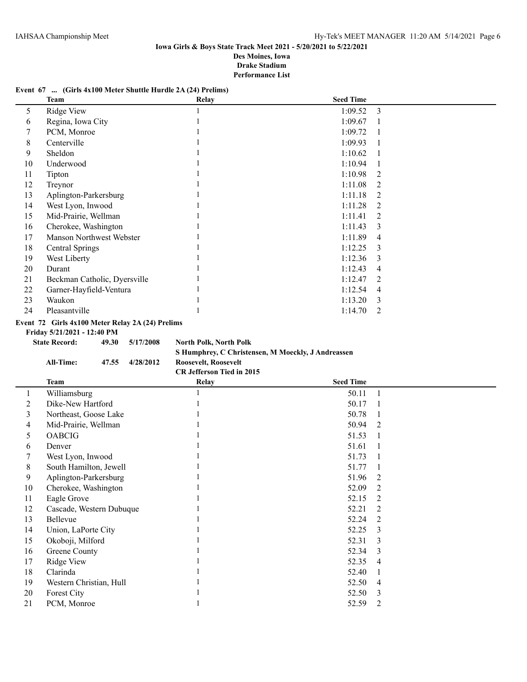## **Event 67 ... (Girls 4x100 Meter Shuttle Hurdle 2A (24) Prelims)**

|    | Team                                                                            | <b>Relay</b> | <b>Seed Time</b> |                |  |  |  |
|----|---------------------------------------------------------------------------------|--------------|------------------|----------------|--|--|--|
| 5  | Ridge View                                                                      |              | 1:09.52          | -3             |  |  |  |
| 6  | Regina, Iowa City                                                               |              | 1:09.67          |                |  |  |  |
|    | PCM, Monroe                                                                     |              | 1:09.72          |                |  |  |  |
| 8  | Centerville                                                                     |              | 1:09.93          |                |  |  |  |
| 9  | Sheldon                                                                         |              | 1:10.62          |                |  |  |  |
| 10 | Underwood                                                                       |              | 1:10.94          |                |  |  |  |
| 11 | Tipton                                                                          |              | 1:10.98          | 2              |  |  |  |
| 12 | Treynor                                                                         |              | 1:11.08          | 2              |  |  |  |
| 13 | Aplington-Parkersburg                                                           |              | 1:11.18          | $\mathfrak{D}$ |  |  |  |
| 14 | West Lyon, Inwood                                                               |              | 1:11.28          | 2              |  |  |  |
| 15 | Mid-Prairie, Wellman                                                            |              | 1:11.41          | 2              |  |  |  |
| 16 | Cherokee, Washington                                                            |              | 1:11.43          | 3              |  |  |  |
| 17 | Manson Northwest Webster                                                        |              | 1:11.89          | 4              |  |  |  |
| 18 | <b>Central Springs</b>                                                          |              | 1:12.25          | $\mathcal{E}$  |  |  |  |
| 19 | West Liberty                                                                    |              | 1:12.36          | 3              |  |  |  |
| 20 | Durant                                                                          |              | 1:12.43          | 4              |  |  |  |
| 21 | Beckman Catholic, Dyersville                                                    |              | 1:12.47          | $\mathfrak{D}$ |  |  |  |
| 22 | Garner-Hayfield-Ventura                                                         |              | 1:12.54          | 4              |  |  |  |
| 23 | Waukon                                                                          |              | 1:13.20          | $\mathcal{E}$  |  |  |  |
| 24 | Pleasantville                                                                   |              | 1:14.70          | 2              |  |  |  |
|    | Event 72 Girls 4x100 Meter Relay 2A (24) Prelims<br>Friday 5/21/2021 - 12:40 PM |              |                  |                |  |  |  |

**State Record: 49.30 5/17/2008 North Polk, North Polk**

**S Humphrey, C Christensen, M Moeckly, J Andreassen All-Time: 47.55 4/28/2012 Roosevelt, Roosevelt**

**CR Jefferson Tied in 2015**

|    | <b>Team</b>              | <b>Relay</b> | <b>Seed Time</b> |                |
|----|--------------------------|--------------|------------------|----------------|
|    | Williamsburg             |              | 50.11            |                |
| 2  | Dike-New Hartford        |              | 50.17            |                |
| 3  | Northeast, Goose Lake    |              | 50.78            |                |
| 4  | Mid-Prairie, Wellman     |              | 50.94            | 2              |
| 5  | <b>OABCIG</b>            |              | 51.53            |                |
| 6  | Denver                   |              | 51.61            |                |
|    | West Lyon, Inwood        |              | 51.73            |                |
| 8  | South Hamilton, Jewell   |              | 51.77            |                |
| 9  | Aplington-Parkersburg    |              | 51.96            | 2              |
| 10 | Cherokee, Washington     |              | 52.09            | 2              |
| 11 | Eagle Grove              |              | 52.15            | $\overline{2}$ |
| 12 | Cascade, Western Dubuque |              | 52.21            | 2              |
| 13 | Bellevue                 |              | 52.24            | 2              |
| 14 | Union, LaPorte City      |              | 52.25            | 3              |
| 15 | Okoboji, Milford         |              | 52.31            | 3              |
| 16 | Greene County            |              | 52.34            | 3              |
| 17 | Ridge View               |              | 52.35            | 4              |
| 18 | Clarinda                 |              | 52.40            |                |
| 19 | Western Christian, Hull  |              | 52.50            | 4              |
| 20 | Forest City              |              | 52.50            | 3              |
| 21 | PCM, Monroe              |              | 52.59            | $\overline{2}$ |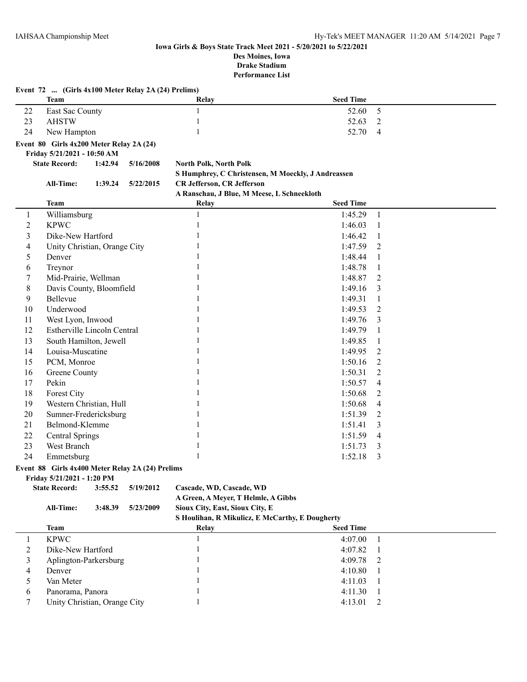| <b>Seed Time</b><br><b>Team</b><br>Relay<br>5<br>East Sac County<br>1<br>22<br>52.60<br>23<br><b>AHSTW</b><br>1<br>52.63<br>2<br>24<br>New Hampton<br>52.70<br>$\overline{4}$<br>Event 80 Girls 4x200 Meter Relay 2A (24)<br>Friday 5/21/2021 - 10:50 AM<br><b>State Record:</b><br>1:42.94<br>5/16/2008<br><b>North Polk, North Polk</b><br>S Humphrey, C Christensen, M Moeckly, J Andreassen<br><b>CR Jefferson, CR Jefferson</b><br>All-Time:<br>1:39.24<br>5/22/2015<br>A Ranschau, J Blue, M Meese, L Schneekloth<br><b>Seed Time</b><br><b>Team</b><br>Relay<br>$\mathbf{1}$<br>Williamsburg<br>1:45.29<br>1<br>1<br><b>KPWC</b><br>$\overline{\mathbf{c}}$<br>1<br>1:46.03<br>1<br>3<br>Dike-New Hartford<br>1:46.42<br>1:47.59<br>4<br>Unity Christian, Orange City<br>2<br>5<br>Denver<br>1:48.44<br>1<br>6<br>Treynor<br>1:48.78<br>1<br>Mid-Prairie, Wellman<br>1:48.87<br>7<br>2<br>8<br>Davis County, Bloomfield<br>1:49.16<br>3<br>9<br>Bellevue<br>1:49.31<br>1<br>Underwood<br>10<br>1:49.53<br>2<br>West Lyon, Inwood<br>11<br>1:49.76<br>3<br>12<br><b>Estherville Lincoln Central</b><br>1:49.79<br>1<br>13<br>South Hamilton, Jewell<br>1:49.85<br>1<br>Louisa-Muscatine<br>14<br>1:49.95<br>2<br>15<br>PCM, Monroe<br>1:50.16<br>2<br>Greene County<br>1:50.31<br>16<br>2<br>17<br>Pekin<br>1:50.57<br>4<br>18<br>Forest City<br>1:50.68<br>2<br>19<br>Western Christian, Hull<br>1:50.68<br>4<br>20<br>Sumner-Fredericksburg<br>1:51.39<br>2<br>21<br>Belmond-Klemme<br>1:51.41<br>3<br>22<br><b>Central Springs</b><br>1:51.59<br>4<br>23<br>West Branch<br>1:51.73<br>3<br>24<br>1<br>Emmetsburg<br>1:52.18<br>3<br>Event 88 Girls 4x400 Meter Relay 2A (24) Prelims<br>Friday 5/21/2021 - 1:20 PM<br><b>State Record:</b><br>3:55.52<br>5/19/2012<br>Cascade, WD, Cascade, WD<br>A Green, A Meyer, T Helmle, A Gibbs<br>Sioux City, East, Sioux City, E<br><b>All-Time:</b><br>3:48.39<br>5/23/2009<br>S Houlihan, R Mikulicz, E McCarthy, E Dougherty<br><b>Seed Time</b><br><b>Team</b><br>Relay<br>$\mathbf{1}$<br><b>KPWC</b><br>$\mathbf{1}$<br>4:07.00<br>1<br>2<br>Dike-New Hartford<br>4:07.82<br>1<br>1<br>3<br>4:09.78<br>Aplington-Parkersburg<br>2<br>4<br>Denver<br>4:10.80<br>1<br>Van Meter<br>5<br>4:11.03<br>1<br>Panorama, Panora |   | Event 72  (Girls 4x100 Meter Relay 2A (24) Prelims) |  |         |   |
|-------------------------------------------------------------------------------------------------------------------------------------------------------------------------------------------------------------------------------------------------------------------------------------------------------------------------------------------------------------------------------------------------------------------------------------------------------------------------------------------------------------------------------------------------------------------------------------------------------------------------------------------------------------------------------------------------------------------------------------------------------------------------------------------------------------------------------------------------------------------------------------------------------------------------------------------------------------------------------------------------------------------------------------------------------------------------------------------------------------------------------------------------------------------------------------------------------------------------------------------------------------------------------------------------------------------------------------------------------------------------------------------------------------------------------------------------------------------------------------------------------------------------------------------------------------------------------------------------------------------------------------------------------------------------------------------------------------------------------------------------------------------------------------------------------------------------------------------------------------------------------------------------------------------------------------------------------------------------------------------------------------------------------------------------------------------------------------------------------------------------------------------------------------------------------------------------------------------------------------------------------------------------------|---|-----------------------------------------------------|--|---------|---|
|                                                                                                                                                                                                                                                                                                                                                                                                                                                                                                                                                                                                                                                                                                                                                                                                                                                                                                                                                                                                                                                                                                                                                                                                                                                                                                                                                                                                                                                                                                                                                                                                                                                                                                                                                                                                                                                                                                                                                                                                                                                                                                                                                                                                                                                                               |   |                                                     |  |         |   |
|                                                                                                                                                                                                                                                                                                                                                                                                                                                                                                                                                                                                                                                                                                                                                                                                                                                                                                                                                                                                                                                                                                                                                                                                                                                                                                                                                                                                                                                                                                                                                                                                                                                                                                                                                                                                                                                                                                                                                                                                                                                                                                                                                                                                                                                                               |   |                                                     |  |         |   |
|                                                                                                                                                                                                                                                                                                                                                                                                                                                                                                                                                                                                                                                                                                                                                                                                                                                                                                                                                                                                                                                                                                                                                                                                                                                                                                                                                                                                                                                                                                                                                                                                                                                                                                                                                                                                                                                                                                                                                                                                                                                                                                                                                                                                                                                                               |   |                                                     |  |         |   |
|                                                                                                                                                                                                                                                                                                                                                                                                                                                                                                                                                                                                                                                                                                                                                                                                                                                                                                                                                                                                                                                                                                                                                                                                                                                                                                                                                                                                                                                                                                                                                                                                                                                                                                                                                                                                                                                                                                                                                                                                                                                                                                                                                                                                                                                                               |   |                                                     |  |         |   |
|                                                                                                                                                                                                                                                                                                                                                                                                                                                                                                                                                                                                                                                                                                                                                                                                                                                                                                                                                                                                                                                                                                                                                                                                                                                                                                                                                                                                                                                                                                                                                                                                                                                                                                                                                                                                                                                                                                                                                                                                                                                                                                                                                                                                                                                                               |   |                                                     |  |         |   |
|                                                                                                                                                                                                                                                                                                                                                                                                                                                                                                                                                                                                                                                                                                                                                                                                                                                                                                                                                                                                                                                                                                                                                                                                                                                                                                                                                                                                                                                                                                                                                                                                                                                                                                                                                                                                                                                                                                                                                                                                                                                                                                                                                                                                                                                                               |   |                                                     |  |         |   |
|                                                                                                                                                                                                                                                                                                                                                                                                                                                                                                                                                                                                                                                                                                                                                                                                                                                                                                                                                                                                                                                                                                                                                                                                                                                                                                                                                                                                                                                                                                                                                                                                                                                                                                                                                                                                                                                                                                                                                                                                                                                                                                                                                                                                                                                                               |   |                                                     |  |         |   |
|                                                                                                                                                                                                                                                                                                                                                                                                                                                                                                                                                                                                                                                                                                                                                                                                                                                                                                                                                                                                                                                                                                                                                                                                                                                                                                                                                                                                                                                                                                                                                                                                                                                                                                                                                                                                                                                                                                                                                                                                                                                                                                                                                                                                                                                                               |   |                                                     |  |         |   |
|                                                                                                                                                                                                                                                                                                                                                                                                                                                                                                                                                                                                                                                                                                                                                                                                                                                                                                                                                                                                                                                                                                                                                                                                                                                                                                                                                                                                                                                                                                                                                                                                                                                                                                                                                                                                                                                                                                                                                                                                                                                                                                                                                                                                                                                                               |   |                                                     |  |         |   |
|                                                                                                                                                                                                                                                                                                                                                                                                                                                                                                                                                                                                                                                                                                                                                                                                                                                                                                                                                                                                                                                                                                                                                                                                                                                                                                                                                                                                                                                                                                                                                                                                                                                                                                                                                                                                                                                                                                                                                                                                                                                                                                                                                                                                                                                                               |   |                                                     |  |         |   |
|                                                                                                                                                                                                                                                                                                                                                                                                                                                                                                                                                                                                                                                                                                                                                                                                                                                                                                                                                                                                                                                                                                                                                                                                                                                                                                                                                                                                                                                                                                                                                                                                                                                                                                                                                                                                                                                                                                                                                                                                                                                                                                                                                                                                                                                                               |   |                                                     |  |         |   |
|                                                                                                                                                                                                                                                                                                                                                                                                                                                                                                                                                                                                                                                                                                                                                                                                                                                                                                                                                                                                                                                                                                                                                                                                                                                                                                                                                                                                                                                                                                                                                                                                                                                                                                                                                                                                                                                                                                                                                                                                                                                                                                                                                                                                                                                                               |   |                                                     |  |         |   |
|                                                                                                                                                                                                                                                                                                                                                                                                                                                                                                                                                                                                                                                                                                                                                                                                                                                                                                                                                                                                                                                                                                                                                                                                                                                                                                                                                                                                                                                                                                                                                                                                                                                                                                                                                                                                                                                                                                                                                                                                                                                                                                                                                                                                                                                                               |   |                                                     |  |         |   |
|                                                                                                                                                                                                                                                                                                                                                                                                                                                                                                                                                                                                                                                                                                                                                                                                                                                                                                                                                                                                                                                                                                                                                                                                                                                                                                                                                                                                                                                                                                                                                                                                                                                                                                                                                                                                                                                                                                                                                                                                                                                                                                                                                                                                                                                                               |   |                                                     |  |         |   |
|                                                                                                                                                                                                                                                                                                                                                                                                                                                                                                                                                                                                                                                                                                                                                                                                                                                                                                                                                                                                                                                                                                                                                                                                                                                                                                                                                                                                                                                                                                                                                                                                                                                                                                                                                                                                                                                                                                                                                                                                                                                                                                                                                                                                                                                                               |   |                                                     |  |         |   |
|                                                                                                                                                                                                                                                                                                                                                                                                                                                                                                                                                                                                                                                                                                                                                                                                                                                                                                                                                                                                                                                                                                                                                                                                                                                                                                                                                                                                                                                                                                                                                                                                                                                                                                                                                                                                                                                                                                                                                                                                                                                                                                                                                                                                                                                                               |   |                                                     |  |         |   |
|                                                                                                                                                                                                                                                                                                                                                                                                                                                                                                                                                                                                                                                                                                                                                                                                                                                                                                                                                                                                                                                                                                                                                                                                                                                                                                                                                                                                                                                                                                                                                                                                                                                                                                                                                                                                                                                                                                                                                                                                                                                                                                                                                                                                                                                                               |   |                                                     |  |         |   |
|                                                                                                                                                                                                                                                                                                                                                                                                                                                                                                                                                                                                                                                                                                                                                                                                                                                                                                                                                                                                                                                                                                                                                                                                                                                                                                                                                                                                                                                                                                                                                                                                                                                                                                                                                                                                                                                                                                                                                                                                                                                                                                                                                                                                                                                                               |   |                                                     |  |         |   |
|                                                                                                                                                                                                                                                                                                                                                                                                                                                                                                                                                                                                                                                                                                                                                                                                                                                                                                                                                                                                                                                                                                                                                                                                                                                                                                                                                                                                                                                                                                                                                                                                                                                                                                                                                                                                                                                                                                                                                                                                                                                                                                                                                                                                                                                                               |   |                                                     |  |         |   |
|                                                                                                                                                                                                                                                                                                                                                                                                                                                                                                                                                                                                                                                                                                                                                                                                                                                                                                                                                                                                                                                                                                                                                                                                                                                                                                                                                                                                                                                                                                                                                                                                                                                                                                                                                                                                                                                                                                                                                                                                                                                                                                                                                                                                                                                                               |   |                                                     |  |         |   |
|                                                                                                                                                                                                                                                                                                                                                                                                                                                                                                                                                                                                                                                                                                                                                                                                                                                                                                                                                                                                                                                                                                                                                                                                                                                                                                                                                                                                                                                                                                                                                                                                                                                                                                                                                                                                                                                                                                                                                                                                                                                                                                                                                                                                                                                                               |   |                                                     |  |         |   |
|                                                                                                                                                                                                                                                                                                                                                                                                                                                                                                                                                                                                                                                                                                                                                                                                                                                                                                                                                                                                                                                                                                                                                                                                                                                                                                                                                                                                                                                                                                                                                                                                                                                                                                                                                                                                                                                                                                                                                                                                                                                                                                                                                                                                                                                                               |   |                                                     |  |         |   |
|                                                                                                                                                                                                                                                                                                                                                                                                                                                                                                                                                                                                                                                                                                                                                                                                                                                                                                                                                                                                                                                                                                                                                                                                                                                                                                                                                                                                                                                                                                                                                                                                                                                                                                                                                                                                                                                                                                                                                                                                                                                                                                                                                                                                                                                                               |   |                                                     |  |         |   |
|                                                                                                                                                                                                                                                                                                                                                                                                                                                                                                                                                                                                                                                                                                                                                                                                                                                                                                                                                                                                                                                                                                                                                                                                                                                                                                                                                                                                                                                                                                                                                                                                                                                                                                                                                                                                                                                                                                                                                                                                                                                                                                                                                                                                                                                                               |   |                                                     |  |         |   |
|                                                                                                                                                                                                                                                                                                                                                                                                                                                                                                                                                                                                                                                                                                                                                                                                                                                                                                                                                                                                                                                                                                                                                                                                                                                                                                                                                                                                                                                                                                                                                                                                                                                                                                                                                                                                                                                                                                                                                                                                                                                                                                                                                                                                                                                                               |   |                                                     |  |         |   |
|                                                                                                                                                                                                                                                                                                                                                                                                                                                                                                                                                                                                                                                                                                                                                                                                                                                                                                                                                                                                                                                                                                                                                                                                                                                                                                                                                                                                                                                                                                                                                                                                                                                                                                                                                                                                                                                                                                                                                                                                                                                                                                                                                                                                                                                                               |   |                                                     |  |         |   |
|                                                                                                                                                                                                                                                                                                                                                                                                                                                                                                                                                                                                                                                                                                                                                                                                                                                                                                                                                                                                                                                                                                                                                                                                                                                                                                                                                                                                                                                                                                                                                                                                                                                                                                                                                                                                                                                                                                                                                                                                                                                                                                                                                                                                                                                                               |   |                                                     |  |         |   |
|                                                                                                                                                                                                                                                                                                                                                                                                                                                                                                                                                                                                                                                                                                                                                                                                                                                                                                                                                                                                                                                                                                                                                                                                                                                                                                                                                                                                                                                                                                                                                                                                                                                                                                                                                                                                                                                                                                                                                                                                                                                                                                                                                                                                                                                                               |   |                                                     |  |         |   |
|                                                                                                                                                                                                                                                                                                                                                                                                                                                                                                                                                                                                                                                                                                                                                                                                                                                                                                                                                                                                                                                                                                                                                                                                                                                                                                                                                                                                                                                                                                                                                                                                                                                                                                                                                                                                                                                                                                                                                                                                                                                                                                                                                                                                                                                                               |   |                                                     |  |         |   |
|                                                                                                                                                                                                                                                                                                                                                                                                                                                                                                                                                                                                                                                                                                                                                                                                                                                                                                                                                                                                                                                                                                                                                                                                                                                                                                                                                                                                                                                                                                                                                                                                                                                                                                                                                                                                                                                                                                                                                                                                                                                                                                                                                                                                                                                                               |   |                                                     |  |         |   |
|                                                                                                                                                                                                                                                                                                                                                                                                                                                                                                                                                                                                                                                                                                                                                                                                                                                                                                                                                                                                                                                                                                                                                                                                                                                                                                                                                                                                                                                                                                                                                                                                                                                                                                                                                                                                                                                                                                                                                                                                                                                                                                                                                                                                                                                                               |   |                                                     |  |         |   |
|                                                                                                                                                                                                                                                                                                                                                                                                                                                                                                                                                                                                                                                                                                                                                                                                                                                                                                                                                                                                                                                                                                                                                                                                                                                                                                                                                                                                                                                                                                                                                                                                                                                                                                                                                                                                                                                                                                                                                                                                                                                                                                                                                                                                                                                                               |   |                                                     |  |         |   |
|                                                                                                                                                                                                                                                                                                                                                                                                                                                                                                                                                                                                                                                                                                                                                                                                                                                                                                                                                                                                                                                                                                                                                                                                                                                                                                                                                                                                                                                                                                                                                                                                                                                                                                                                                                                                                                                                                                                                                                                                                                                                                                                                                                                                                                                                               |   |                                                     |  |         |   |
|                                                                                                                                                                                                                                                                                                                                                                                                                                                                                                                                                                                                                                                                                                                                                                                                                                                                                                                                                                                                                                                                                                                                                                                                                                                                                                                                                                                                                                                                                                                                                                                                                                                                                                                                                                                                                                                                                                                                                                                                                                                                                                                                                                                                                                                                               |   |                                                     |  |         |   |
|                                                                                                                                                                                                                                                                                                                                                                                                                                                                                                                                                                                                                                                                                                                                                                                                                                                                                                                                                                                                                                                                                                                                                                                                                                                                                                                                                                                                                                                                                                                                                                                                                                                                                                                                                                                                                                                                                                                                                                                                                                                                                                                                                                                                                                                                               |   |                                                     |  |         |   |
|                                                                                                                                                                                                                                                                                                                                                                                                                                                                                                                                                                                                                                                                                                                                                                                                                                                                                                                                                                                                                                                                                                                                                                                                                                                                                                                                                                                                                                                                                                                                                                                                                                                                                                                                                                                                                                                                                                                                                                                                                                                                                                                                                                                                                                                                               |   |                                                     |  |         |   |
|                                                                                                                                                                                                                                                                                                                                                                                                                                                                                                                                                                                                                                                                                                                                                                                                                                                                                                                                                                                                                                                                                                                                                                                                                                                                                                                                                                                                                                                                                                                                                                                                                                                                                                                                                                                                                                                                                                                                                                                                                                                                                                                                                                                                                                                                               |   |                                                     |  |         |   |
|                                                                                                                                                                                                                                                                                                                                                                                                                                                                                                                                                                                                                                                                                                                                                                                                                                                                                                                                                                                                                                                                                                                                                                                                                                                                                                                                                                                                                                                                                                                                                                                                                                                                                                                                                                                                                                                                                                                                                                                                                                                                                                                                                                                                                                                                               |   |                                                     |  |         |   |
|                                                                                                                                                                                                                                                                                                                                                                                                                                                                                                                                                                                                                                                                                                                                                                                                                                                                                                                                                                                                                                                                                                                                                                                                                                                                                                                                                                                                                                                                                                                                                                                                                                                                                                                                                                                                                                                                                                                                                                                                                                                                                                                                                                                                                                                                               |   |                                                     |  |         |   |
|                                                                                                                                                                                                                                                                                                                                                                                                                                                                                                                                                                                                                                                                                                                                                                                                                                                                                                                                                                                                                                                                                                                                                                                                                                                                                                                                                                                                                                                                                                                                                                                                                                                                                                                                                                                                                                                                                                                                                                                                                                                                                                                                                                                                                                                                               |   |                                                     |  |         |   |
|                                                                                                                                                                                                                                                                                                                                                                                                                                                                                                                                                                                                                                                                                                                                                                                                                                                                                                                                                                                                                                                                                                                                                                                                                                                                                                                                                                                                                                                                                                                                                                                                                                                                                                                                                                                                                                                                                                                                                                                                                                                                                                                                                                                                                                                                               |   |                                                     |  |         |   |
|                                                                                                                                                                                                                                                                                                                                                                                                                                                                                                                                                                                                                                                                                                                                                                                                                                                                                                                                                                                                                                                                                                                                                                                                                                                                                                                                                                                                                                                                                                                                                                                                                                                                                                                                                                                                                                                                                                                                                                                                                                                                                                                                                                                                                                                                               |   |                                                     |  |         |   |
|                                                                                                                                                                                                                                                                                                                                                                                                                                                                                                                                                                                                                                                                                                                                                                                                                                                                                                                                                                                                                                                                                                                                                                                                                                                                                                                                                                                                                                                                                                                                                                                                                                                                                                                                                                                                                                                                                                                                                                                                                                                                                                                                                                                                                                                                               |   |                                                     |  |         |   |
|                                                                                                                                                                                                                                                                                                                                                                                                                                                                                                                                                                                                                                                                                                                                                                                                                                                                                                                                                                                                                                                                                                                                                                                                                                                                                                                                                                                                                                                                                                                                                                                                                                                                                                                                                                                                                                                                                                                                                                                                                                                                                                                                                                                                                                                                               |   |                                                     |  |         |   |
|                                                                                                                                                                                                                                                                                                                                                                                                                                                                                                                                                                                                                                                                                                                                                                                                                                                                                                                                                                                                                                                                                                                                                                                                                                                                                                                                                                                                                                                                                                                                                                                                                                                                                                                                                                                                                                                                                                                                                                                                                                                                                                                                                                                                                                                                               |   |                                                     |  |         |   |
|                                                                                                                                                                                                                                                                                                                                                                                                                                                                                                                                                                                                                                                                                                                                                                                                                                                                                                                                                                                                                                                                                                                                                                                                                                                                                                                                                                                                                                                                                                                                                                                                                                                                                                                                                                                                                                                                                                                                                                                                                                                                                                                                                                                                                                                                               |   |                                                     |  |         |   |
|                                                                                                                                                                                                                                                                                                                                                                                                                                                                                                                                                                                                                                                                                                                                                                                                                                                                                                                                                                                                                                                                                                                                                                                                                                                                                                                                                                                                                                                                                                                                                                                                                                                                                                                                                                                                                                                                                                                                                                                                                                                                                                                                                                                                                                                                               | 6 |                                                     |  | 4:11.30 | 1 |
| Unity Christian, Orange City<br>$\mathbf{1}$<br>4:13.01<br>7<br>2                                                                                                                                                                                                                                                                                                                                                                                                                                                                                                                                                                                                                                                                                                                                                                                                                                                                                                                                                                                                                                                                                                                                                                                                                                                                                                                                                                                                                                                                                                                                                                                                                                                                                                                                                                                                                                                                                                                                                                                                                                                                                                                                                                                                             |   |                                                     |  |         |   |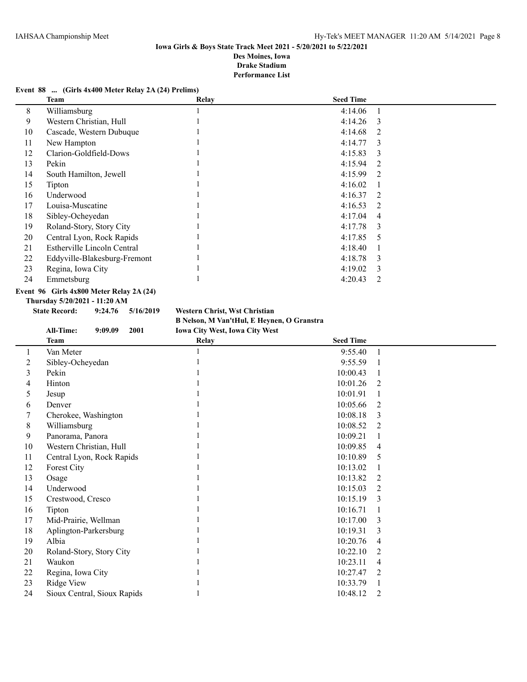## **Event 88 ... (Girls 4x400 Meter Relay 2A (24) Prelims)**

| Team                         | Relay | <b>Seed Time</b> |               |
|------------------------------|-------|------------------|---------------|
| Williamsburg                 |       | 4:14.06          |               |
| Western Christian, Hull      |       | 4:14.26          | $\mathcal{E}$ |
| Cascade, Western Dubuque     |       | 4:14.68          | 2             |
| New Hampton                  |       | 4:14.77          | $\mathcal{E}$ |
| Clarion-Goldfield-Dows       |       | 4:15.83          | $\mathcal{E}$ |
| Pekin                        |       | 4:15.94          | 2             |
| South Hamilton, Jewell       |       | 4:15.99          | 2             |
| Tipton                       |       | 4:16.02          |               |
| Underwood                    |       | 4:16.37          | 2             |
| Louisa-Muscatine             |       | 4:16.53          | 2             |
| Sibley-Ocheyedan             |       | 4:17.04          | 4             |
| Roland-Story, Story City     |       | 4:17.78          | $\mathcal{E}$ |
| Central Lyon, Rock Rapids    |       | 4:17.85          | - 5           |
| Estherville Lincoln Central  |       | 4:18.40          |               |
| Eddyville-Blakesburg-Fremont |       | 4:18.78          | $\mathcal{E}$ |
| Regina, Iowa City            |       | 4:19.02          | $\mathcal{E}$ |
| Emmetsburg                   |       | 4:20.43          | 2             |
|                              |       |                  |               |

## **Event 96 Girls 4x800 Meter Relay 2A (24)**

**Thursday 5/20/2021 - 11:20 AM**

**State Record: 9:24.76 5/16/2019 Western Christ, Wst Christian B Nelson, M Van'tHul, E Heynen, O Granstra**

|    | <b>All-Time:</b><br>9:09.09<br>2001 | Iowa City West, Iowa City West |                            |  |
|----|-------------------------------------|--------------------------------|----------------------------|--|
|    | <b>Team</b>                         | Relay                          | <b>Seed Time</b>           |  |
|    | Van Meter                           |                                | 9:55.40                    |  |
| 2  | Sibley-Ocheyedan                    |                                | 9:55.59                    |  |
| 3  | Pekin                               |                                | 10:00.43                   |  |
| 4  | Hinton                              |                                | 10:01.26<br>2              |  |
| 5  | Jesup                               |                                | 10:01.91                   |  |
| 6  | Denver                              |                                | 10:05.66<br>$\overline{2}$ |  |
| 7  | Cherokee, Washington                |                                | 10:08.18<br>3              |  |
| 8  | Williamsburg                        |                                | 10:08.52<br>2              |  |
| 9  | Panorama, Panora                    |                                | 10:09.21                   |  |
| 10 | Western Christian, Hull             |                                | 10:09.85<br>4              |  |
| 11 | Central Lyon, Rock Rapids           |                                | 10:10.89<br>5              |  |
| 12 | Forest City                         |                                | 10:13.02                   |  |
| 13 | Osage                               |                                | 10:13.82<br>$\overline{2}$ |  |
| 14 | Underwood                           |                                | 10:15.03<br>2              |  |
| 15 | Crestwood, Cresco                   |                                | 10:15.19<br>3              |  |
| 16 | Tipton                              |                                | 10:16.71                   |  |
| 17 | Mid-Prairie, Wellman                |                                | 10:17.00<br>3              |  |
| 18 | Aplington-Parkersburg               |                                | 10:19.31<br>3              |  |
| 19 | Albia                               |                                | 10:20.76<br>4              |  |
| 20 | Roland-Story, Story City            |                                | 10:22.10<br>2              |  |
| 21 | Waukon                              |                                | 10:23.11<br>4              |  |
| 22 | Regina, Iowa City                   |                                | 10:27.47<br>$\overline{2}$ |  |
| 23 | Ridge View                          |                                | 10:33.79                   |  |
| 24 | Sioux Central, Sioux Rapids         |                                | 10:48.12<br>2              |  |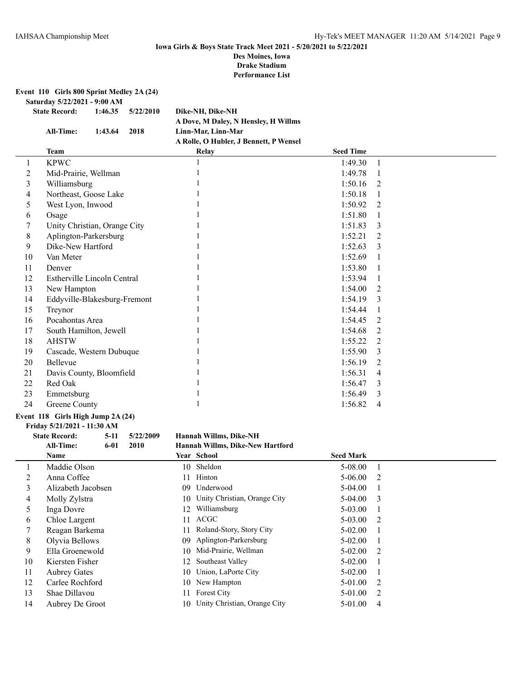**Event 110 Girls 800 Sprint Medley 2A (24)**

**Saturday 5/22/2021 - 9:00 AM**

| <b>State Record:</b> | 1:46.35 | 5/22/2010 | Dike-NH, Dike-NH                       |
|----------------------|---------|-----------|----------------------------------------|
|                      |         |           | A Dove, M Daley, N Hensley, H Willms   |
| All-Time:            | 1:43.64 | 2018      | Linn-Mar. Linn-Mar                     |
|                      |         |           | A Rolle, O Hubler, J Bennett, P Wensel |
|                      |         |           |                                        |

|    | <b>Team</b>                  | <b>Relay</b> | <b>Seed Time</b> |   |
|----|------------------------------|--------------|------------------|---|
|    | <b>KPWC</b>                  |              | 1:49.30          |   |
| 2  | Mid-Prairie, Wellman         |              | 1:49.78          |   |
| 3  | Williamsburg                 |              | 1:50.16          | 2 |
| 4  | Northeast, Goose Lake        |              | 1:50.18          |   |
| 5  | West Lyon, Inwood            |              | 1:50.92          | 2 |
| 6  | Osage                        |              | 1:51.80          |   |
|    | Unity Christian, Orange City |              | 1:51.83          | 3 |
| 8  | Aplington-Parkersburg        |              | 1:52.21          | 2 |
| 9  | Dike-New Hartford            |              | 1:52.63          | 3 |
| 10 | Van Meter                    |              | 1:52.69          |   |
| 11 | Denver                       |              | 1:53.80          |   |
| 12 | Estherville Lincoln Central  |              | 1:53.94          |   |
| 13 | New Hampton                  |              | 1:54.00          | 2 |
| 14 | Eddyville-Blakesburg-Fremont |              | 1:54.19          | 3 |
| 15 | Treynor                      |              | 1:54.44          |   |
| 16 | Pocahontas Area              |              | 1:54.45          | 2 |
| 17 | South Hamilton, Jewell       |              | 1:54.68          | 2 |
| 18 | <b>AHSTW</b>                 |              | 1:55.22          | 2 |
| 19 | Cascade, Western Dubuque     |              | 1:55.90          | 3 |
| 20 | Bellevue                     |              | 1:56.19          | 2 |
| 21 | Davis County, Bloomfield     |              | 1:56.31          | 4 |
| 22 | Red Oak                      |              | 1:56.47          | 3 |
| 23 | Emmetsburg                   |              | 1:56.49          | 3 |
| 24 | Greene County                |              | 1:56.82          | 4 |

#### **Event 118 Girls High Jump 2A (24)**

**Friday 5/21/2021 - 11:30 AM**

**State Record: 5-11 5/22/2009 Hannah Willms, Dike-NH**

| All-Time: | 6-01 | 2010 | Hannah Willms, Dike-New Hartford |                  |
|-----------|------|------|----------------------------------|------------------|
| Name      |      |      | Year School                      | <b>Seed Mark</b> |
|           |      |      |                                  |                  |

|    | ташс                |     | <b>Teal</b> Deliver             | эсси інаі к |                         |
|----|---------------------|-----|---------------------------------|-------------|-------------------------|
|    | Maddie Olson        |     | 10 Sheldon                      | 5-08.00     |                         |
| 2  | Anna Coffee         | 11. | Hinton                          | $5-06.00$ 2 |                         |
| 3  | Alizabeth Jacobsen  |     | 09 Underwood                    | $5-04.00$   |                         |
| 4  | Molly Zylstra       |     | 10 Unity Christian, Orange City | 5-04.00     | $\overline{\mathbf{3}}$ |
| 5  | Inga Dovre          | 12  | Williamsburg                    | $5-03.00$   |                         |
| 6  | Chloe Largent       | 11  | ACGC                            | $5-03.00$ 2 |                         |
|    | Reagan Barkema      | 11  | Roland-Story, Story City        | $5-02.00$   |                         |
| 8  | Olyvia Bellows      |     | 09 Aplington-Parkersburg        | $5-02.00$   |                         |
| 9  | Ella Groenewold     |     | 10 Mid-Prairie, Wellman         | $5-02.00$ 2 |                         |
| 10 | Kiersten Fisher     |     | 12 Southeast Valley             | $5-02.00$   |                         |
| 11 | <b>Aubrey Gates</b> |     | 10 Union, LaPorte City          | $5-02.00$   |                         |
| 12 | Carlee Rochford     |     | 10 New Hampton                  | $5-01.00$ 2 |                         |
| 13 | Shae Dillavou       | 11. | <b>Forest City</b>              | $5-01.00$ 2 |                         |
| 14 | Aubrey De Groot     |     | 10 Unity Christian, Orange City | 5-01.00     | 4                       |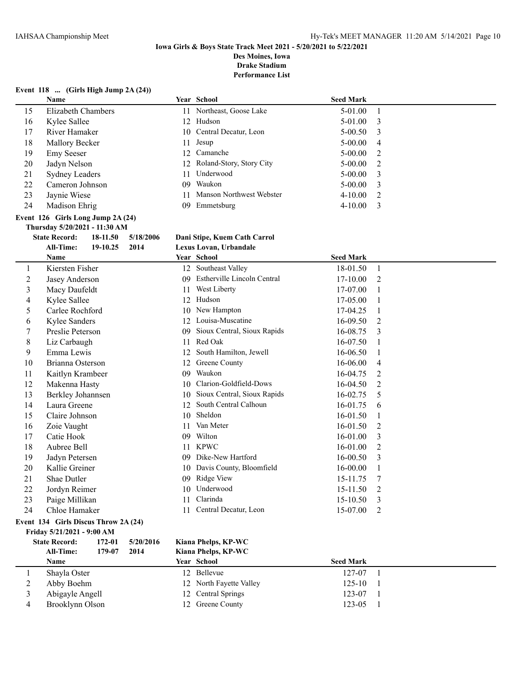**Drake Stadium**

**Performance List**

#### **Event 118 ... (Girls High Jump 2A (24))**

|    | Name                  |     | Year School                     | <b>Seed Mark</b> |     |
|----|-----------------------|-----|---------------------------------|------------------|-----|
| 15 | Elizabeth Chambers    |     | 11 Northeast, Goose Lake        | $5-01.00$        |     |
| 16 | Kylee Sallee          |     | 12 Hudson                       | $5-01.00$        | - 3 |
| 17 | River Hamaker         |     | 10 Central Decatur, Leon        | $5 - 00.50$      | - 3 |
| 18 | Mallory Becker        | 11  | Jesup                           | $5 - 00.00$      | 4   |
| 19 | <b>Emy Seeser</b>     |     | 12 Camanche                     | $5 - 00.00$      | 2   |
| 20 | Jadyn Nelson          |     | 12 Roland-Story, Story City     | $5 - 00.00$      | -2  |
| 21 | <b>Sydney Leaders</b> | 11. | Underwood                       | $5 - 00.00$      | - 3 |
| 22 | Cameron Johnson       | 09. | Waukon                          | $5 - 00.00$      | - 3 |
| 23 | Jaynie Wiese          | 11  | <b>Manson Northwest Webster</b> | $4 - 10.00$      | - 2 |
| 24 | Madison Ehrig         | 09. | Emmetsburg                      | $4 - 10.00$      | - 3 |

#### **Event 126 Girls Long Jump 2A (24)**

**Thursday 5/20/2021 - 11:30 AM**

## **State Record: 18-11.50 5/18/2006 Dani Stipe, Kuem Cath Carrol**

|    | <b>All-Time:</b><br>19-10.25<br>2014 | Lexus Lovan, Urbandale             |                            |
|----|--------------------------------------|------------------------------------|----------------------------|
|    | Name                                 | Year School                        | <b>Seed Mark</b>           |
| 1  | Kiersten Fisher                      | 12 Southeast Valley                | 18-01.50<br>-1             |
| 2  | Jasey Anderson                       | Estherville Lincoln Central<br>09. | $17 - 10.00$<br>2          |
| 3  | Macy Daufeldt                        | West Liberty<br>11                 | 17-07.00                   |
| 4  | Kylee Sallee                         | 12 Hudson                          | 17-05.00                   |
| 5  | Carlee Rochford                      | 10 New Hampton                     | 17-04.25<br>-1             |
| 6  | Kylee Sanders                        | 12 Louisa-Muscatine                | $16 - 09.50$<br>2          |
| 7  | Preslie Peterson                     | 09 Sioux Central, Sioux Rapids     | 16-08.75<br>$\overline{3}$ |
| 8  | Liz Carbaugh                         | Red Oak<br>11                      | 16-07.50<br>1              |
| 9  | Emma Lewis                           | 12 South Hamilton, Jewell          | $16 - 06.50$<br>1          |
| 10 | Brianna Osterson                     | 12 Greene County                   | 16-06.00<br>$\overline{4}$ |
| 11 | Kaitlyn Krambeer                     | Waukon<br>09.                      | 16-04.75<br>$\mathcal{L}$  |
| 12 | Makenna Hasty                        | 10 Clarion-Goldfield-Dows          | $16-04.50$<br>2            |
| 13 | Berkley Johannsen                    | 10 Sioux Central, Sioux Rapids     | $16 - 02.75$<br>5          |
| 14 | Laura Greene                         | 12 South Central Calhoun           | 16-01.75<br>6              |

## **Event 134 Girls Discus Throw 2A (24)**

**Friday 5/21/2021 - 9:00 AM**

|   | <b>State Record:</b><br><b>All-Time:</b><br><b>Name</b> | 172-01<br>179-07 | 5/20/2016<br>2014 | Kian:<br>Kiana<br>Year |
|---|---------------------------------------------------------|------------------|-------------------|------------------------|
| 1 | Shayla Oster                                            |                  |                   | 12                     |
| 2 | Abby Boehm                                              |                  |                   |                        |
| 3 | Abigayle Angell                                         |                  |                   |                        |
| 4 | Brooklynn Olson                                         |                  |                   |                        |

#### **State Record: 172-01 5/20/2016 Kiana Phelps, KP-WC All-Time: 179-07 2014 Kiana Phelps, KP-WC**

15 Claire Johnson 10 Sheldon 16-01.50 1 16 Zoie Vaught 11 Van Meter 16-01.50 2 17 Catie Hook 09 Wilton 16-01.00 3 18 Aubree Bell 11 KPWC 16-01.00 2 19 Jadyn Petersen 09 Dike-New Hartford 16-00.50 3 20 Kallie Greiner 10 Davis County, Bloomfield 16-00.00 1 21 Shae Dutler 09 Ridge View 15-11.75 7 22 Jordyn Reimer 10 Underwood 15-11.50 2<br>
23 Paige Millikan 11 Clarinda 15-10.50 3 23 Paige Millikan 11 Clarinda 15-10.50 3 24 Chloe Hamaker 11 Central Decatur, Leon 15-07.00 2

|   | Name            | Year School             | <b>Seed Mark</b> |  |
|---|-----------------|-------------------------|------------------|--|
|   | Shayla Oster    | 12 Bellevue             | 127-07           |  |
| ∠ | Abby Boehm      | 12 North Fayette Valley | 125-10           |  |
|   | Abigayle Angell | 12 Central Springs      | 123-07           |  |
|   | Brooklynn Olson | 12 Greene County        | 123-05           |  |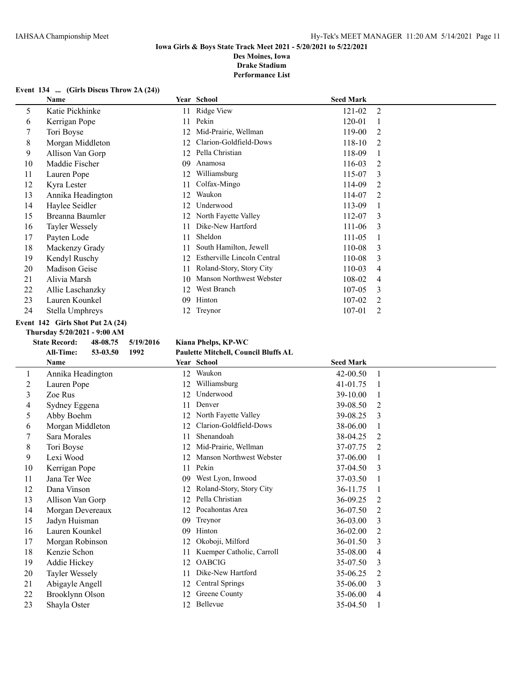**Drake Stadium**

**Performance List**

#### **Event 134 ... (Girls Discus Throw 2A (24))**

|    | Name              |    | Year School                 | <b>Seed Mark</b> |   |
|----|-------------------|----|-----------------------------|------------------|---|
| 5  | Katie Pickhinke   | 11 | Ridge View                  | 121-02           | 2 |
| 6  | Kerrigan Pope     | 11 | Pekin                       | 120-01           |   |
| 7  | Tori Boyse        |    | Mid-Prairie, Wellman        | 119-00           | 2 |
| 8  | Morgan Middleton  | 12 | Clarion-Goldfield-Dows      | 118-10           | 2 |
| 9  | Allison Van Gorp  | 12 | Pella Christian             | 118-09           |   |
| 10 | Maddie Fischer    | 09 | Anamosa                     | 116-03           | 2 |
| 11 | Lauren Pope       | 12 | Williamsburg                | 115-07           | 3 |
| 12 | Kyra Lester       | 11 | Colfax-Mingo                | 114-09           | 2 |
| 13 | Annika Headington | 12 | Waukon                      | 114-07           | 2 |
| 14 | Haylee Seidler    |    | Underwood                   | 113-09           |   |
| 15 | Breanna Baumler   | 12 | North Fayette Valley        | 112-07           | 3 |
| 16 | Tayler Wessely    | 11 | Dike-New Hartford           | $111 - 06$       | 3 |
| 17 | Payten Lode       | 11 | Sheldon                     | 111-05           |   |
| 18 | Mackenzy Grady    | 11 | South Hamilton, Jewell      | 110-08           | 3 |
| 19 | Kendyl Ruschy     | 12 | Estherville Lincoln Central | 110-08           | 3 |
| 20 | Madison Geise     | 11 | Roland-Story, Story City    | 110-03           | 4 |
| 21 | Alivia Marsh      | 10 | Manson Northwest Webster    | 108-02           | 4 |
| 22 | Allie Laschanzky  | 12 | West Branch                 | 107-05           | 3 |
| 23 | Lauren Kounkel    | 09 | Hinton                      | 107-02           | 2 |
| 24 | Stella Umphreys   | 12 | Treynor                     | 107-01           | 2 |
|    |                   |    |                             |                  |   |

#### **Event 142 Girls Shot Put 2A (24)**

#### **Thursday 5/20/2021 - 9:00 AM**

| K<br>P |      |          | <b>THUI SUAY</b> 3/20/2021 - 2:00 APL<br><b>State Record:</b><br>48-08.75<br>5/19/2016 |    |  |  |  |  |  |
|--------|------|----------|----------------------------------------------------------------------------------------|----|--|--|--|--|--|
|        |      |          |                                                                                        |    |  |  |  |  |  |
|        | 1992 | 53-03.50 | <b>All-Time:</b>                                                                       |    |  |  |  |  |  |
| Y      |      |          | <b>Name</b>                                                                            |    |  |  |  |  |  |
|        |      |          | Annika Headington                                                                      | 1  |  |  |  |  |  |
|        |      |          | Lauren Pope                                                                            | 2  |  |  |  |  |  |
|        |      |          | Zoe Rus                                                                                | 3  |  |  |  |  |  |
|        |      |          | Sydney Eggena                                                                          | 4  |  |  |  |  |  |
|        |      |          | Abby Boehm                                                                             | 5  |  |  |  |  |  |
|        |      |          | Morgan Middleton                                                                       | 6  |  |  |  |  |  |
|        |      |          | Sara Morales                                                                           | 7  |  |  |  |  |  |
|        |      |          | Tori Boyse                                                                             | 8  |  |  |  |  |  |
|        |      |          | Lexi Wood                                                                              | 9  |  |  |  |  |  |
|        |      |          | Kerrigan Pope                                                                          | 10 |  |  |  |  |  |
|        |      |          | Jana Ter Wee                                                                           | 11 |  |  |  |  |  |
|        |      |          | Dana Vinson                                                                            | 12 |  |  |  |  |  |
|        |      |          | Allison Van Gorp                                                                       | 13 |  |  |  |  |  |
|        |      |          | Morgan Devereaux                                                                       | 14 |  |  |  |  |  |
|        |      |          | Jadyn Huisman                                                                          | 15 |  |  |  |  |  |
|        |      |          | Lauren Kounkel                                                                         | 16 |  |  |  |  |  |
|        |      |          | Morgan Robinson                                                                        | 17 |  |  |  |  |  |
|        |      |          | Kenzie Schon                                                                           | 18 |  |  |  |  |  |
|        |      |          | Addie Hickey                                                                           | 19 |  |  |  |  |  |
|        |      |          | Tayler Wessely                                                                         | 20 |  |  |  |  |  |
|        |      |          | Abigayle Angell                                                                        | 21 |  |  |  |  |  |
|        |      |          |                                                                                        |    |  |  |  |  |  |

#### **State Record: 48-08.75 5/19/2016 Kiana Phelps, KP-WC All-Time: 53-03.50 1992 Paulette Mitchell, Council Bluffs AL**

# **Name Year School Seed Mark** 12 Waukon 42-00.50 1

| 2  | Lauren Pope      |     | Williamsburg              | 41-01.75 |                               |
|----|------------------|-----|---------------------------|----------|-------------------------------|
| 3  | Zoe Rus          |     | Underwood                 | 39-10.00 |                               |
| 4  | Sydney Eggena    | 11  | Denver                    | 39-08.50 | 2                             |
| 5  | Abby Boehm       | 12  | North Fayette Valley      | 39-08.25 | $\mathcal{E}$                 |
| 6  | Morgan Middleton | 12  | Clarion-Goldfield-Dows    | 38-06.00 |                               |
| 7  | Sara Morales     | 11  | Shenandoah                | 38-04.25 | $\mathfrak{D}_{\mathfrak{p}}$ |
| 8  | Tori Boyse       | 12  | Mid-Prairie, Wellman      | 37-07.75 | $\mathfrak{D}_{\mathfrak{p}}$ |
| 9  | Lexi Wood        | 12  | Manson Northwest Webster  | 37-06.00 |                               |
| 10 | Kerrigan Pope    | 11  | Pekin                     | 37-04.50 | $\mathcal{E}$                 |
| 11 | Jana Ter Wee     | 09  | West Lyon, Inwood         | 37-03.50 |                               |
| 12 | Dana Vinson      | 12  | Roland-Story, Story City  | 36-11.75 |                               |
| 13 | Allison Van Gorp |     | Pella Christian           | 36-09.25 | 2                             |
| 14 | Morgan Devereaux | 12  | Pocahontas Area           | 36-07.50 | $\mathfrak{D}_{\mathfrak{p}}$ |
| 15 | Jadyn Huisman    | 09  | Treynor                   | 36-03.00 | 3                             |
| 16 | Lauren Kounkel   | 09  | Hinton                    | 36-02.00 | $\mathfrak{D}$                |
| 17 | Morgan Robinson  | 12  | Okoboji, Milford          | 36-01.50 | 3                             |
| 18 | Kenzie Schon     |     | Kuemper Catholic, Carroll | 35-08.00 | 4                             |
| 19 | Addie Hickey     | 12  | <b>OABCIG</b>             | 35-07.50 | 3                             |
| 20 | Tayler Wessely   |     | Dike-New Hartford         | 35-06.25 | 2                             |
| 21 | Abigayle Angell  | 12  | <b>Central Springs</b>    | 35-06.00 | 3                             |
| 22 | Brooklynn Olson  | 12  | Greene County             | 35-06.00 | 4                             |
| 23 | Shayla Oster     | 12. | Bellevue                  | 35-04.50 |                               |